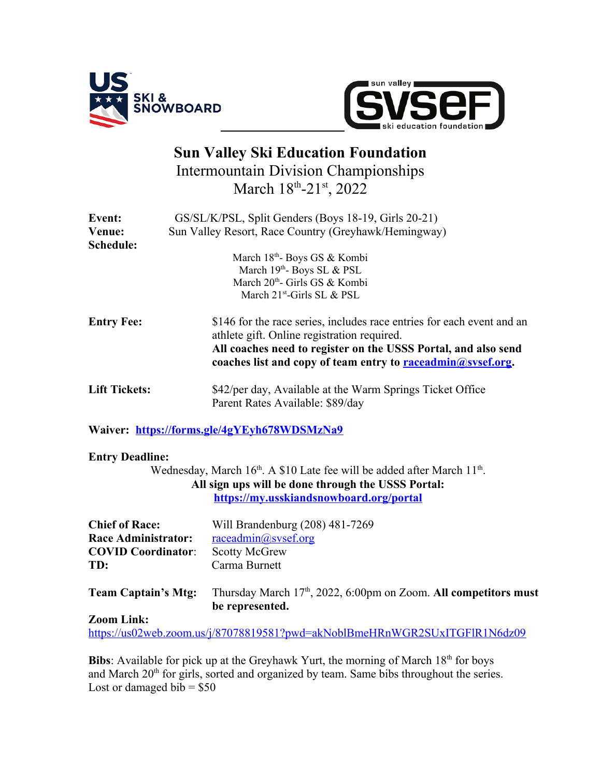



## **Sun Valley Ski Education Foundation** Intermountain Division Championships March 18th-21st, 2022

| Event:                 | GS/SL/K/PSL, Split Genders (Boys 18-19, Girls 20-21)                                                                                  |
|------------------------|---------------------------------------------------------------------------------------------------------------------------------------|
| Venue:                 | Sun Valley Resort, Race Country (Greyhawk/Hemingway)                                                                                  |
| Schedule:              |                                                                                                                                       |
|                        | March 18 <sup>th</sup> Boys GS & Kombi                                                                                                |
|                        | March 19th- Boys SL & PSL                                                                                                             |
|                        | March 20 <sup>th</sup> - Girls GS & Kombi                                                                                             |
|                        | March $21^{st}$ -Girls SL & PSL                                                                                                       |
| <b>Entry Fee:</b>      | \$146 for the race series, includes race entries for each event and an<br>athlete gift. Online registration required.                 |
|                        | All coaches need to register on the USSS Portal, and also send<br>coaches list and copy of team entry to <b>raceadmin@sysef.org</b> . |
| <b>Lift Tickets:</b>   | \$42/per day, Available at the Warm Springs Ticket Office<br>Parent Rates Available: \$89/day                                         |
|                        | Waiver: https://forms.gle/4gYEyh678WDSMzNa9                                                                                           |
| <b>Entry Deadline:</b> |                                                                                                                                       |
|                        | Wednesday, March 16 <sup>th</sup> . A \$10 Late fee will be added after March 11 <sup>th</sup> .                                      |
|                        | All sign ups will be done through the USSS Portal:                                                                                    |

**<https://my.usskiandsnowboard.org/portal>**

| <b>Chief of Race:</b>      | Will Brandenburg (208) 481-7269                                                                 |
|----------------------------|-------------------------------------------------------------------------------------------------|
| <b>Race Administrator:</b> | raceadmin@sysef.org                                                                             |
| <b>COVID Coordinator:</b>  | <b>Scotty McGrew</b>                                                                            |
| TD:                        | Carma Burnett                                                                                   |
| <b>Team Captain's Mtg:</b> | Thursday March 17 <sup>th</sup> , 2022, 6:00pm on Zoom. All competitors must<br>be represented. |

## **Zoom Link:**

<https://us02web.zoom.us/j/87078819581?pwd=akNoblBmeHRnWGR2SUxITGFlR1N6dz09>

**Bibs**: Available for pick up at the Greyhawk Yurt, the morning of March 18<sup>th</sup> for boys and March 20<sup>th</sup> for girls, sorted and organized by team. Same bibs throughout the series. Lost or damaged bib =  $$50$